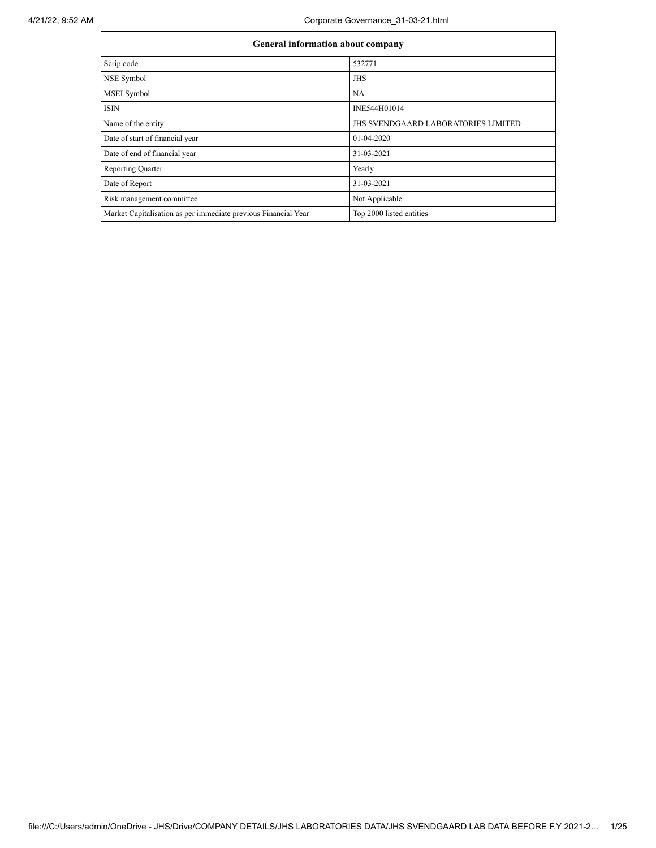| <b>General information about company</b>                       |                                            |  |  |  |  |
|----------------------------------------------------------------|--------------------------------------------|--|--|--|--|
| Scrip code                                                     | 532771                                     |  |  |  |  |
| NSE Symbol                                                     | <b>JHS</b>                                 |  |  |  |  |
| <b>MSEI</b> Symbol                                             | <b>NA</b>                                  |  |  |  |  |
| <b>ISIN</b>                                                    | INE544H01014                               |  |  |  |  |
| Name of the entity                                             | <b>JHS SVENDGAARD LABORATORIES LIMITED</b> |  |  |  |  |
| Date of start of financial year                                | 01-04-2020                                 |  |  |  |  |
| Date of end of financial year                                  | 31-03-2021                                 |  |  |  |  |
| <b>Reporting Quarter</b>                                       | Yearly                                     |  |  |  |  |
| Date of Report                                                 | 31-03-2021                                 |  |  |  |  |
| Risk management committee                                      | Not Applicable                             |  |  |  |  |
| Market Capitalisation as per immediate previous Financial Year | Top 2000 listed entities                   |  |  |  |  |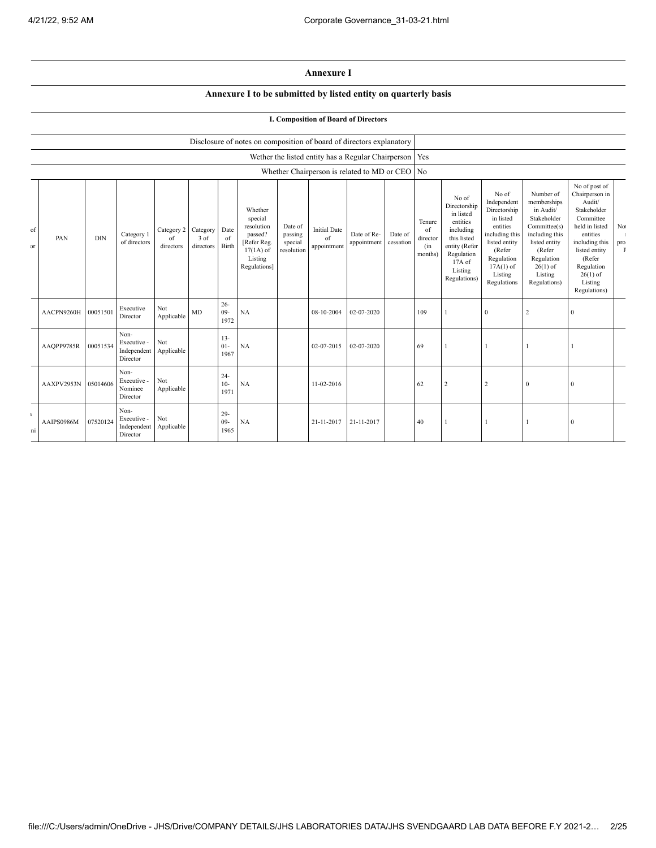## **Annexure I**

## **Annexure I to be submitted by listed entity on quarterly basis**

|                    |            |            |                                                |                               |                                    |                          |                                                                                                      |                                             |                                          | <b>I. Composition of Board of Directors</b>              |                      |                                            |                                                                                                                                                |                                                                                                                                                                   |                                                                                                                                                                          |                                                                                                                                                                                                         |                           |
|--------------------|------------|------------|------------------------------------------------|-------------------------------|------------------------------------|--------------------------|------------------------------------------------------------------------------------------------------|---------------------------------------------|------------------------------------------|----------------------------------------------------------|----------------------|--------------------------------------------|------------------------------------------------------------------------------------------------------------------------------------------------|-------------------------------------------------------------------------------------------------------------------------------------------------------------------|--------------------------------------------------------------------------------------------------------------------------------------------------------------------------|---------------------------------------------------------------------------------------------------------------------------------------------------------------------------------------------------------|---------------------------|
|                    |            |            |                                                |                               |                                    |                          | Disclosure of notes on composition of board of directors explanatory                                 |                                             |                                          |                                                          |                      |                                            |                                                                                                                                                |                                                                                                                                                                   |                                                                                                                                                                          |                                                                                                                                                                                                         |                           |
|                    |            |            |                                                |                               |                                    |                          |                                                                                                      |                                             |                                          | Wether the listed entity has a Regular Chairperson   Yes |                      |                                            |                                                                                                                                                |                                                                                                                                                                   |                                                                                                                                                                          |                                                                                                                                                                                                         |                           |
|                    |            |            |                                                |                               |                                    |                          |                                                                                                      |                                             |                                          | Whether Chairperson is related to MD or CEO No           |                      |                                            |                                                                                                                                                |                                                                                                                                                                   |                                                                                                                                                                          |                                                                                                                                                                                                         |                           |
| of<br>$\mathbf{r}$ | PAN        | <b>DIN</b> | Category 1<br>of directors                     | Category 2<br>of<br>directors | Category Date<br>3 of<br>directors | of<br>Birth              | Whether<br>special<br>resolution<br>passed?<br>[Refer Reg.<br>$17(1A)$ of<br>Listing<br>Regulations] | Date of<br>passing<br>special<br>resolution | <b>Initial Date</b><br>of<br>appointment | Date of Re-<br>appointment                               | Date of<br>cessation | Tenure<br>of<br>director<br>(in<br>months) | No of<br>Directorship<br>in listed<br>entities<br>including<br>this listed<br>entity (Refer<br>Regulation<br>17A of<br>Listing<br>Regulations) | No of<br>Independent<br>Directorship<br>in listed<br>entities<br>including this<br>listed entity<br>(Refer<br>Regulation<br>$17A(1)$ of<br>Listing<br>Regulations | Number of<br>memberships<br>in Audit/<br>Stakeholder<br>Committee(s)<br>including this<br>listed entity<br>(Refer<br>Regulation<br>$26(1)$ of<br>Listing<br>Regulations) | No of post of<br>Chairperson in<br>Audit/<br>Stakeholder<br>Committee<br>held in listed<br>entities<br>including this<br>listed entity<br>(Refer<br>Regulation<br>$26(1)$ of<br>Listing<br>Regulations) | No<br>pro<br>$\mathbf{F}$ |
|                    | AACPN9260H | 00051501   | Executive<br>Director                          | Not<br>Applicable             | MD                                 | $26 -$<br>$09 -$<br>1972 | NA                                                                                                   |                                             | 08-10-2004                               | 02-07-2020                                               |                      | 109                                        |                                                                                                                                                | $\theta$                                                                                                                                                          | $\overline{c}$                                                                                                                                                           | $\mathbf{0}$                                                                                                                                                                                            |                           |
|                    | AAQPP9785R | 00051534   | Non-<br>Executive -<br>Independent<br>Director | Not<br>Applicable             |                                    | $13 -$<br>$01 -$<br>1967 | NA                                                                                                   |                                             | 02-07-2015                               | 02-07-2020                                               |                      | 69                                         |                                                                                                                                                |                                                                                                                                                                   |                                                                                                                                                                          |                                                                                                                                                                                                         |                           |
|                    | AAXPV2953N | 05014606   | Non-<br>Executive -<br>Nominee<br>Director     | Not<br>Applicable             |                                    | $24 -$<br>$10-$<br>1971  | NA                                                                                                   |                                             | 11-02-2016                               |                                                          |                      | 62                                         | $\overline{2}$                                                                                                                                 | $\overline{2}$                                                                                                                                                    | $\mathbf{0}$                                                                                                                                                             | $\mathbf{0}$                                                                                                                                                                                            |                           |
| $\mathbf{L}$<br>ni | AAIPS0986M | 07520124   | Non-<br>Executive -<br>Independent<br>Director | Not<br>Applicable             |                                    | $29 -$<br>$09 -$<br>1965 | NA                                                                                                   |                                             | 21-11-2017                               | 21-11-2017                                               |                      | 40                                         |                                                                                                                                                |                                                                                                                                                                   |                                                                                                                                                                          | $\boldsymbol{0}$                                                                                                                                                                                        |                           |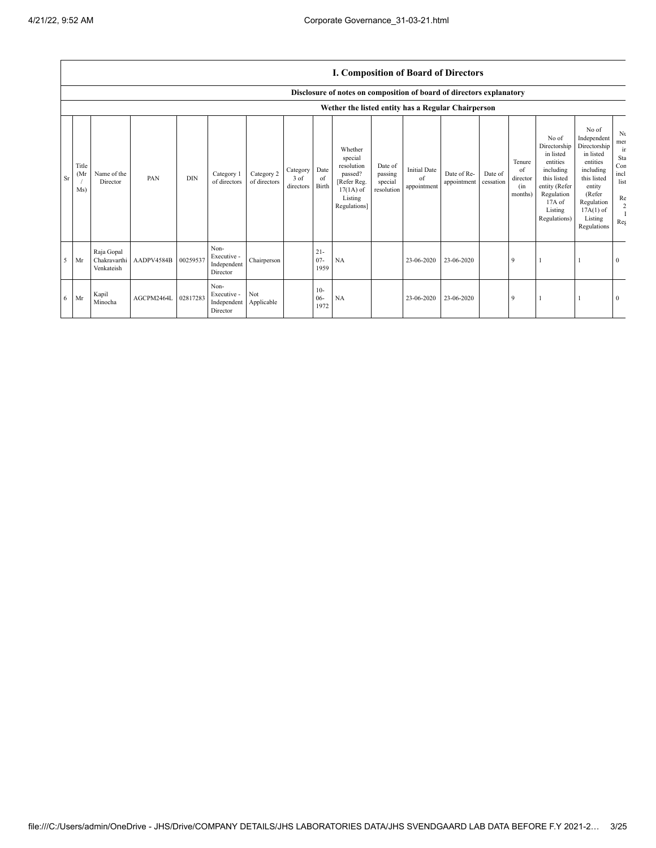## **I. Composition of Board of Directors**

|           |                      | Disclosure of notes on composition of board of directors explanatory |            |            |                                                |                            |                               |                          |                                                                                                      |                                             |                                          |                            |                      |                                            |                                                                                                                                                |                                                                                                                                                                      |                                                                 |
|-----------|----------------------|----------------------------------------------------------------------|------------|------------|------------------------------------------------|----------------------------|-------------------------------|--------------------------|------------------------------------------------------------------------------------------------------|---------------------------------------------|------------------------------------------|----------------------------|----------------------|--------------------------------------------|------------------------------------------------------------------------------------------------------------------------------------------------|----------------------------------------------------------------------------------------------------------------------------------------------------------------------|-----------------------------------------------------------------|
|           |                      |                                                                      |            |            |                                                |                            |                               |                          | Wether the listed entity has a Regular Chairperson                                                   |                                             |                                          |                            |                      |                                            |                                                                                                                                                |                                                                                                                                                                      |                                                                 |
| <b>Sr</b> | Title<br>(Mr)<br>Ms) | Name of the<br>Director                                              | PAN        | <b>DIN</b> | Category 1<br>of directors                     | Category 2<br>of directors | Category<br>3 of<br>directors | Date<br>of<br>Birth      | Whether<br>special<br>resolution<br>passed?<br>[Refer Reg.<br>$17(1A)$ of<br>Listing<br>Regulations] | Date of<br>passing<br>special<br>resolution | <b>Initial Date</b><br>of<br>appointment | Date of Re-<br>appointment | Date of<br>cessation | Tenure<br>of<br>director<br>(in<br>months) | No of<br>Directorship<br>in listed<br>entities<br>including<br>this listed<br>entity (Refer<br>Regulation<br>17A of<br>Listing<br>Regulations) | No of<br>Independent<br>Directorship<br>in listed<br>entities<br>including<br>this listed<br>entity<br>(Refer<br>Regulation<br>$17A(1)$ of<br>Listing<br>Regulations | Nι<br>mer<br>ir<br>Sta<br>Con<br>incl<br>list<br>Re<br>2<br>Reg |
| 5         | Mr                   | Raja Gopal<br>Chakravarthi<br>Venkateish                             | AADPV4584B | 00259537   | Non-<br>Executive -<br>Independent<br>Director | Chairperson                |                               | $21 -$<br>$07 -$<br>1959 | NA                                                                                                   |                                             | 23-06-2020                               | 23-06-2020                 |                      | 9                                          |                                                                                                                                                |                                                                                                                                                                      | $\Omega$                                                        |
| 6         | Mr                   | Kapil<br>Minocha                                                     | AGCPM2464L | 02817283   | Non-<br>Executive -<br>Independent<br>Director | Not<br>Applicable          |                               | $10-$<br>$06 -$<br>1972  | NA                                                                                                   |                                             | 23-06-2020                               | 23-06-2020                 |                      | 9                                          |                                                                                                                                                |                                                                                                                                                                      | $\mathbf{0}$                                                    |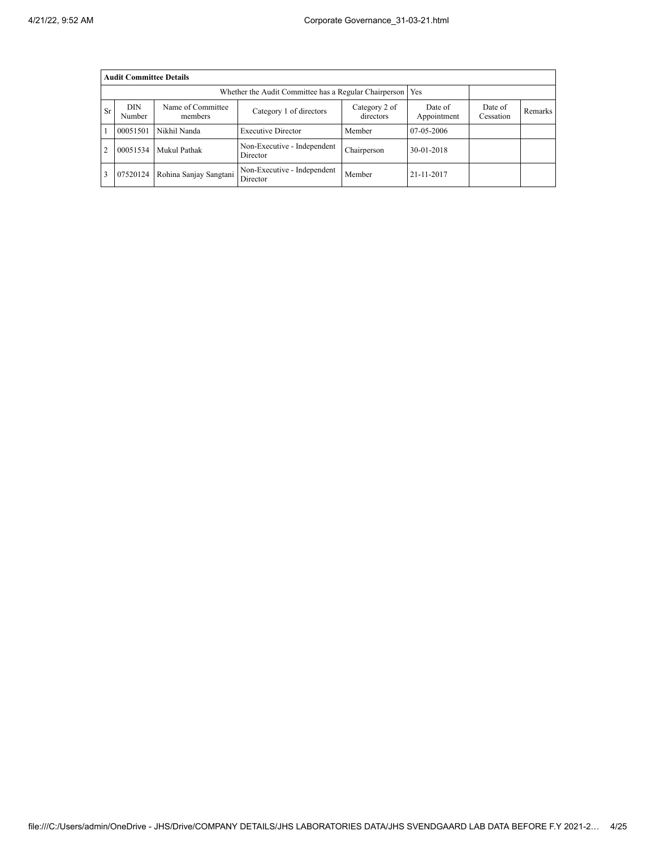|                | <b>Audit Committee Details</b>                                                  |                        |                                         |                        |                      |         |  |  |  |
|----------------|---------------------------------------------------------------------------------|------------------------|-----------------------------------------|------------------------|----------------------|---------|--|--|--|
|                | Whether the Audit Committee has a Regular Chairperson<br>Yes                    |                        |                                         |                        |                      |         |  |  |  |
| <b>Sr</b>      | <b>DIN</b><br>Name of Committee<br>Category 1 of directors<br>Number<br>members |                        | Category 2 of<br>directors              | Date of<br>Appointment | Date of<br>Cessation | Remarks |  |  |  |
|                | 00051501                                                                        | Nikhil Nanda           | <b>Executive Director</b>               | Member                 | 07-05-2006           |         |  |  |  |
| $\overline{2}$ | 00051534                                                                        | Mukul Pathak           | Non-Executive - Independent<br>Director | Chairperson            | 30-01-2018           |         |  |  |  |
| 3              | 07520124                                                                        | Rohina Sanjay Sangtani | Non-Executive - Independent<br>Director | Member                 | 21-11-2017           |         |  |  |  |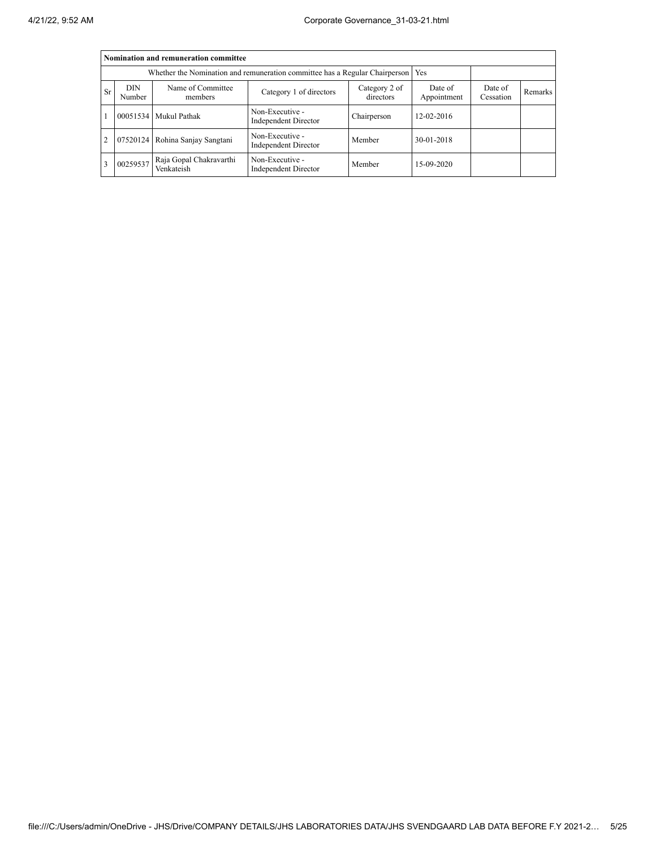|                | Nomination and remuneration committee                                                                         |                                       |                                                                             |             |                        |                      |         |  |  |
|----------------|---------------------------------------------------------------------------------------------------------------|---------------------------------------|-----------------------------------------------------------------------------|-------------|------------------------|----------------------|---------|--|--|
|                |                                                                                                               |                                       | Whether the Nomination and remuneration committee has a Regular Chairperson |             | Yes                    |                      |         |  |  |
| Sr             | Name of Committee<br><b>DIN</b><br>Category 2 of<br>Category 1 of directors<br>directors<br>Number<br>members |                                       |                                                                             |             | Date of<br>Appointment | Date of<br>Cessation | Remarks |  |  |
|                |                                                                                                               | 00051534 Mukul Pathak                 | Non-Executive -<br>Independent Director                                     | Chairperson | $12 - 02 - 2016$       |                      |         |  |  |
| $\overline{2}$ |                                                                                                               | 07520124 Rohina Sanjay Sangtani       | Non-Executive -<br>Independent Director                                     | Member      | 30-01-2018             |                      |         |  |  |
| 3              | 00259537                                                                                                      | Raja Gopal Chakravarthi<br>Venkateish | Non-Executive -<br>Independent Director                                     | Member      | 15-09-2020             |                      |         |  |  |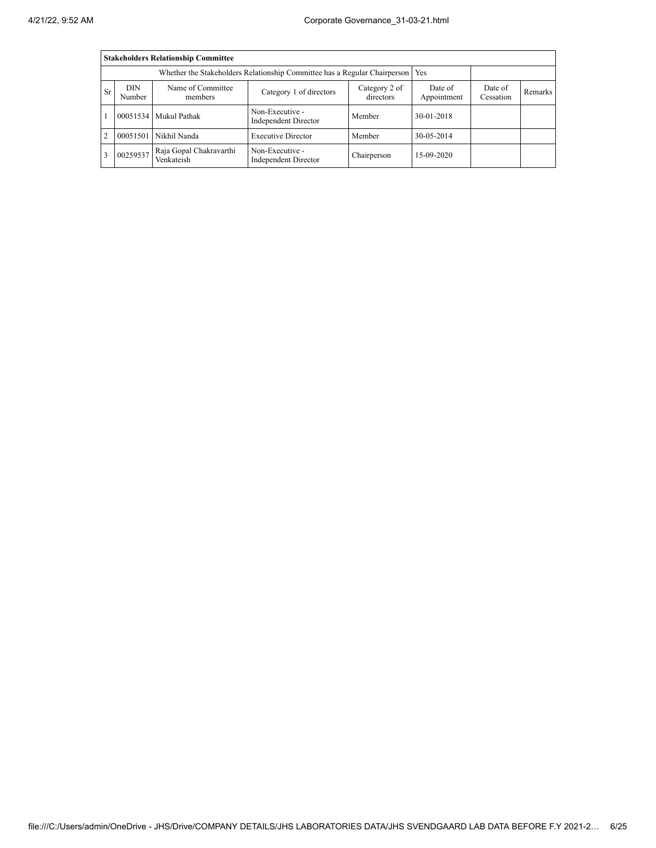|                | <b>Stakeholders Relationship Committee</b>                                      |                                       |                                                |                            |                        |                      |         |  |  |
|----------------|---------------------------------------------------------------------------------|---------------------------------------|------------------------------------------------|----------------------------|------------------------|----------------------|---------|--|--|
|                | Whether the Stakeholders Relationship Committee has a Regular Chairperson   Yes |                                       |                                                |                            |                        |                      |         |  |  |
| Sr             | <b>DIN</b><br>Name of Committee<br>Category 1 of directors<br>Number<br>members |                                       |                                                | Category 2 of<br>directors | Date of<br>Appointment | Date of<br>Cessation | Remarks |  |  |
|                |                                                                                 | 00051534 Mukul Pathak                 | Non-Executive -<br>Independent Director        | Member                     | 30-01-2018             |                      |         |  |  |
| $\overline{c}$ | 00051501                                                                        | Nikhil Nanda                          | <b>Executive Director</b>                      | Member                     | 30-05-2014             |                      |         |  |  |
| 3              | 00259537                                                                        | Raja Gopal Chakravarthi<br>Venkateish | Non-Executive -<br><b>Independent Director</b> | Chairperson                | 15-09-2020             |                      |         |  |  |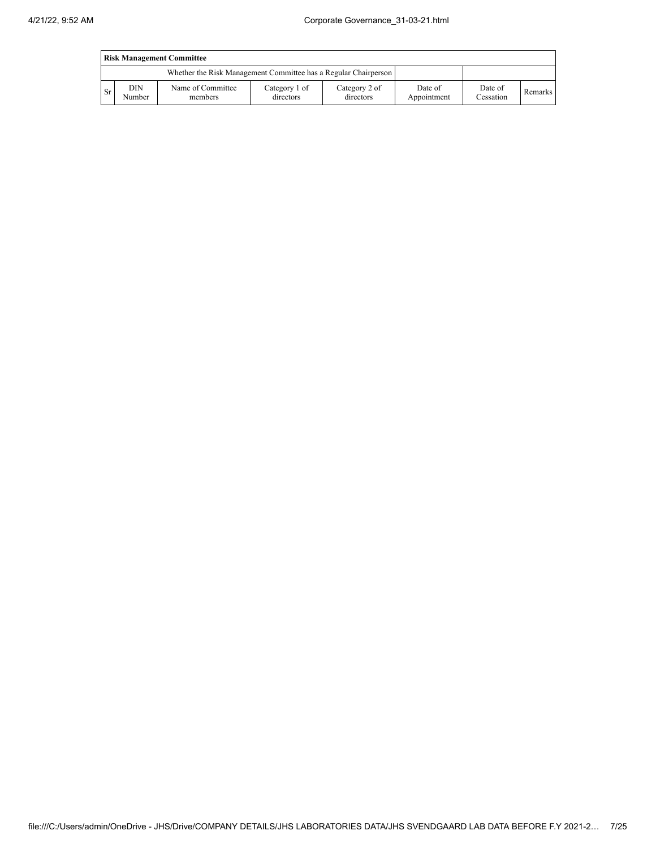| <b>Risk Management Committee</b> |               |                                                                 |                            |                            |                        |                      |         |
|----------------------------------|---------------|-----------------------------------------------------------------|----------------------------|----------------------------|------------------------|----------------------|---------|
|                                  |               | Whether the Risk Management Committee has a Regular Chairperson |                            |                            |                        |                      |         |
| <b>Sr</b>                        | DIN<br>Number | Name of Committee<br>members                                    | Category 1 of<br>directors | Category 2 of<br>directors | Date of<br>Appointment | Date of<br>Cessation | Remarks |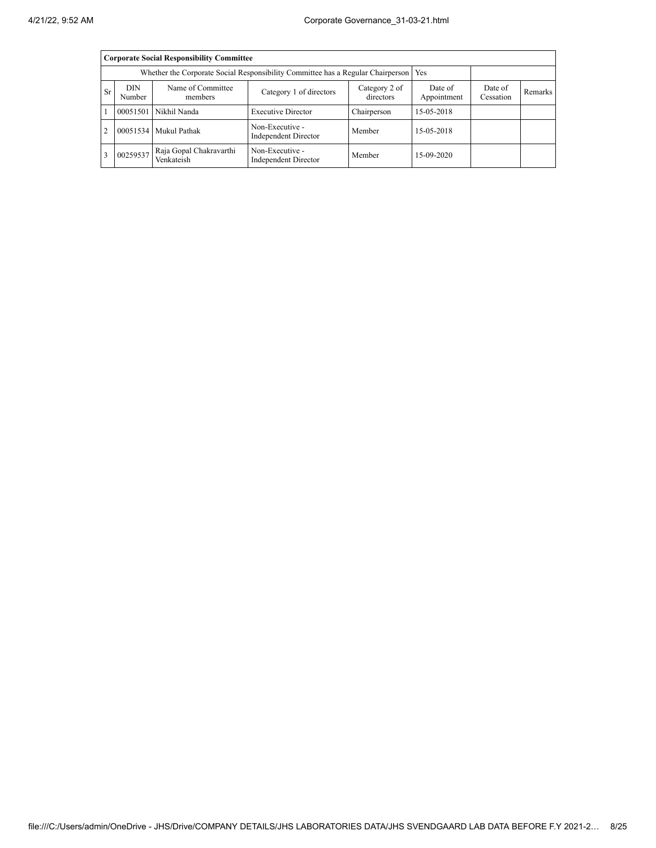|                                                     | <b>Corporate Social Responsibility Committee</b>                                    |                                       |                                         |                        |                      |         |  |  |  |
|-----------------------------------------------------|-------------------------------------------------------------------------------------|---------------------------------------|-----------------------------------------|------------------------|----------------------|---------|--|--|--|
|                                                     | Whether the Corporate Social Responsibility Committee has a Regular Chairperson Yes |                                       |                                         |                        |                      |         |  |  |  |
| DIN<br>Name of Committee<br>Sr<br>Number<br>members |                                                                                     | Category 1 of directors               | Category 2 of<br>directors              | Date of<br>Appointment | Date of<br>Cessation | Remarks |  |  |  |
|                                                     |                                                                                     | 00051501 Nikhil Nanda                 | <b>Executive Director</b>               | Chairperson            | 15-05-2018           |         |  |  |  |
| 2                                                   |                                                                                     | 00051534 Mukul Pathak                 | Non-Executive -<br>Independent Director | Member                 | 15-05-2018           |         |  |  |  |
| 3                                                   | 00259537                                                                            | Raja Gopal Chakravarthi<br>Venkateish | Non-Executive -<br>Independent Director | Member                 | 15-09-2020           |         |  |  |  |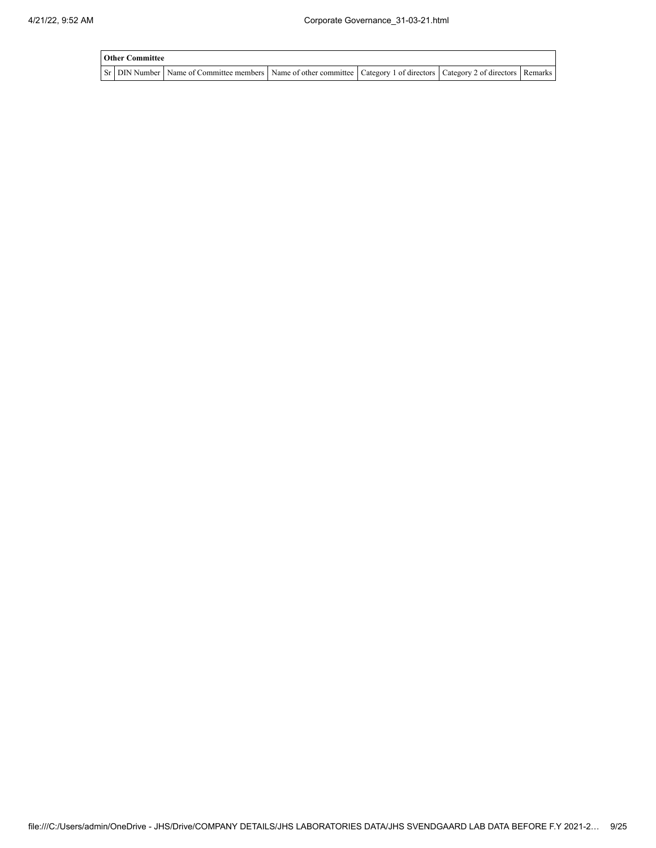| <b>Other Committee</b> |                                                                                                                         |  |  |
|------------------------|-------------------------------------------------------------------------------------------------------------------------|--|--|
|                        | Sr DIN Number Name of Committee members Name of other committee Category 1 of directors Category 2 of directors Remarks |  |  |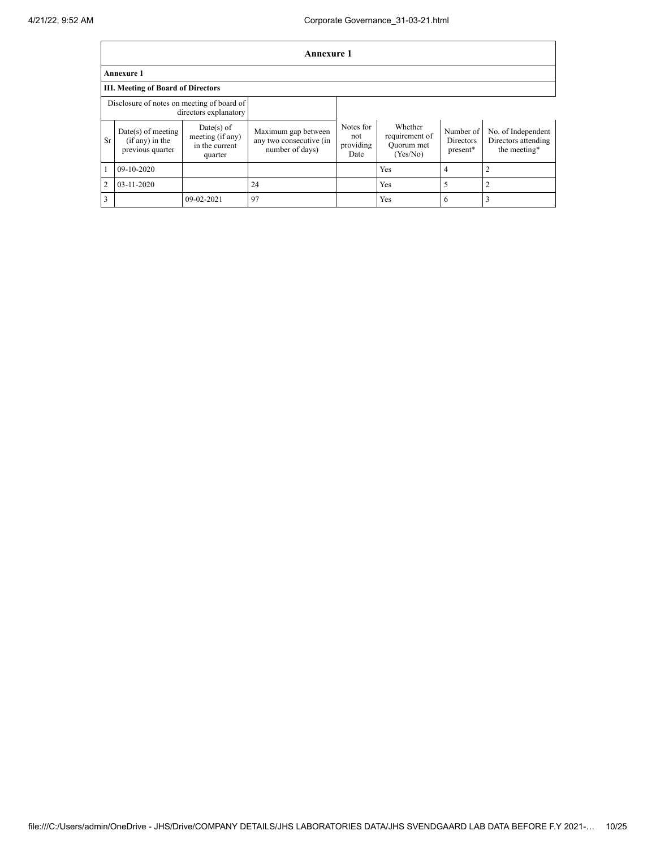|                | <b>Annexure 1</b>                                             |                                                               |                                                                   |                                       |                                                     |                                    |                                                           |
|----------------|---------------------------------------------------------------|---------------------------------------------------------------|-------------------------------------------------------------------|---------------------------------------|-----------------------------------------------------|------------------------------------|-----------------------------------------------------------|
|                | <b>Annexure 1</b>                                             |                                                               |                                                                   |                                       |                                                     |                                    |                                                           |
|                | <b>III. Meeting of Board of Directors</b>                     |                                                               |                                                                   |                                       |                                                     |                                    |                                                           |
|                | Disclosure of notes on meeting of board of                    | directors explanatory                                         |                                                                   |                                       |                                                     |                                    |                                                           |
| Sr             | $Date(s)$ of meeting<br>$(if any)$ in the<br>previous quarter | $Date(s)$ of<br>meeting (if any)<br>in the current<br>quarter | Maximum gap between<br>any two consecutive (in<br>number of days) | Notes for<br>not<br>providing<br>Date | Whether<br>requirement of<br>Quorum met<br>(Yes/No) | Number of<br>Directors<br>present* | No. of Independent<br>Directors attending<br>the meeting* |
|                | 09-10-2020                                                    |                                                               |                                                                   |                                       | Yes                                                 | 4                                  | $\overline{2}$                                            |
| $\overline{2}$ | $03 - 11 - 2020$                                              |                                                               | 24                                                                |                                       | Yes                                                 | 5                                  | 2                                                         |
| 3              |                                                               | 09-02-2021                                                    | 97                                                                |                                       | Yes                                                 | 6                                  | 3                                                         |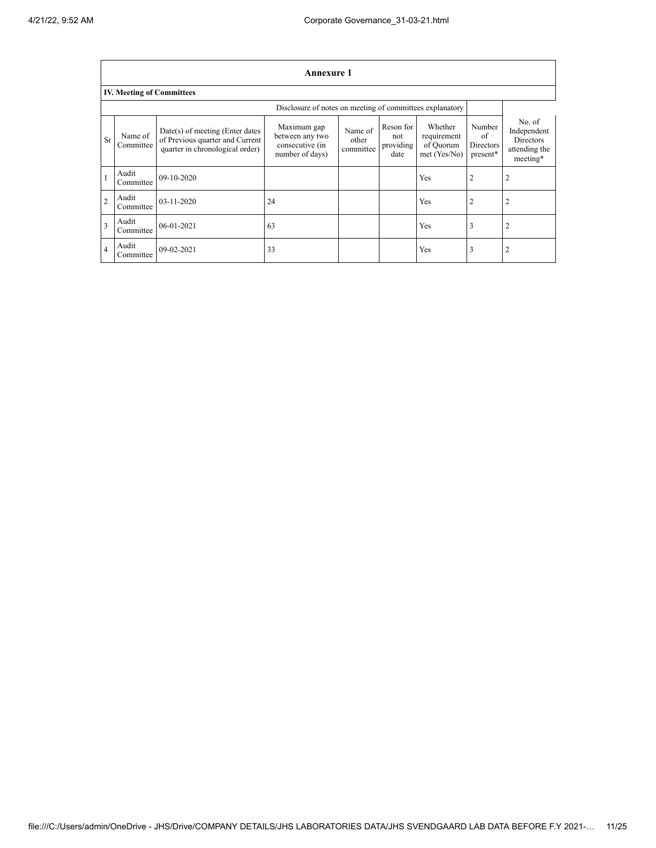|                         | <b>Annexure 1</b>                |                                                                                                         |                                                                      |                               |                                       |                                                       |                                       |                                                                        |
|-------------------------|----------------------------------|---------------------------------------------------------------------------------------------------------|----------------------------------------------------------------------|-------------------------------|---------------------------------------|-------------------------------------------------------|---------------------------------------|------------------------------------------------------------------------|
|                         | <b>IV. Meeting of Committees</b> |                                                                                                         |                                                                      |                               |                                       |                                                       |                                       |                                                                        |
|                         |                                  |                                                                                                         |                                                                      |                               |                                       |                                                       |                                       |                                                                        |
| <b>Sr</b>               | Name of<br>Committee             | $Date(s)$ of meeting (Enter dates<br>of Previous quarter and Current<br>quarter in chronological order) | Maximum gap<br>between any two<br>consecutive (in<br>number of days) | Name of<br>other<br>committee | Reson for<br>not<br>providing<br>date | Whether<br>requirement<br>of Quorum<br>$met$ (Yes/No) | Number<br>of<br>Directors<br>present* | No. of<br>Independent<br><b>Directors</b><br>attending the<br>meeting* |
|                         | Audit<br>Committee               | $09-10-2020$                                                                                            |                                                                      |                               |                                       | <b>Yes</b>                                            | 2                                     | $\overline{2}$                                                         |
| $\mathfrak{D}$          | Audit<br>Committee               | 03-11-2020                                                                                              | 24                                                                   |                               |                                       | <b>Yes</b>                                            | 2                                     | $\overline{2}$                                                         |
| $\overline{\mathbf{3}}$ | Audit<br>Committee               | $06-01-2021$                                                                                            | 63                                                                   |                               |                                       | Yes                                                   | 3                                     | $\overline{2}$                                                         |
| $\overline{4}$          | Audit<br>Committee               | 09-02-2021                                                                                              | 33                                                                   |                               |                                       | Yes                                                   | 3                                     | $\overline{2}$                                                         |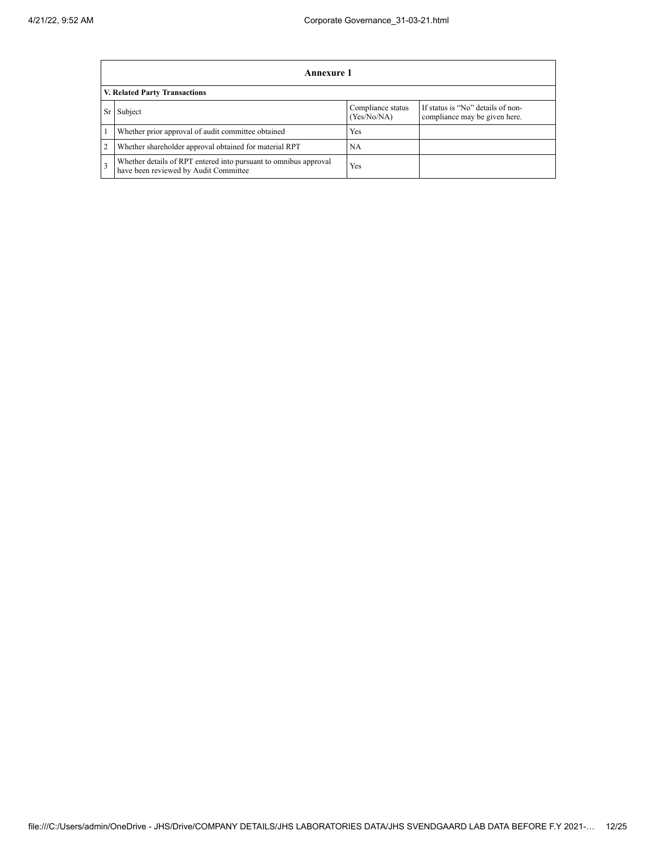|                | <b>Annexure 1</b>                                                                                         |                                                                    |  |  |  |  |  |  |
|----------------|-----------------------------------------------------------------------------------------------------------|--------------------------------------------------------------------|--|--|--|--|--|--|
|                | V. Related Party Transactions                                                                             |                                                                    |  |  |  |  |  |  |
| <b>Sr</b>      | Subject                                                                                                   | If status is "No" details of non-<br>compliance may be given here. |  |  |  |  |  |  |
|                | Whether prior approval of audit committee obtained                                                        | Yes                                                                |  |  |  |  |  |  |
| $\overline{2}$ | Whether shareholder approval obtained for material RPT                                                    | <b>NA</b>                                                          |  |  |  |  |  |  |
| 3              | Whether details of RPT entered into pursuant to omnibus approval<br>have been reviewed by Audit Committee | Yes                                                                |  |  |  |  |  |  |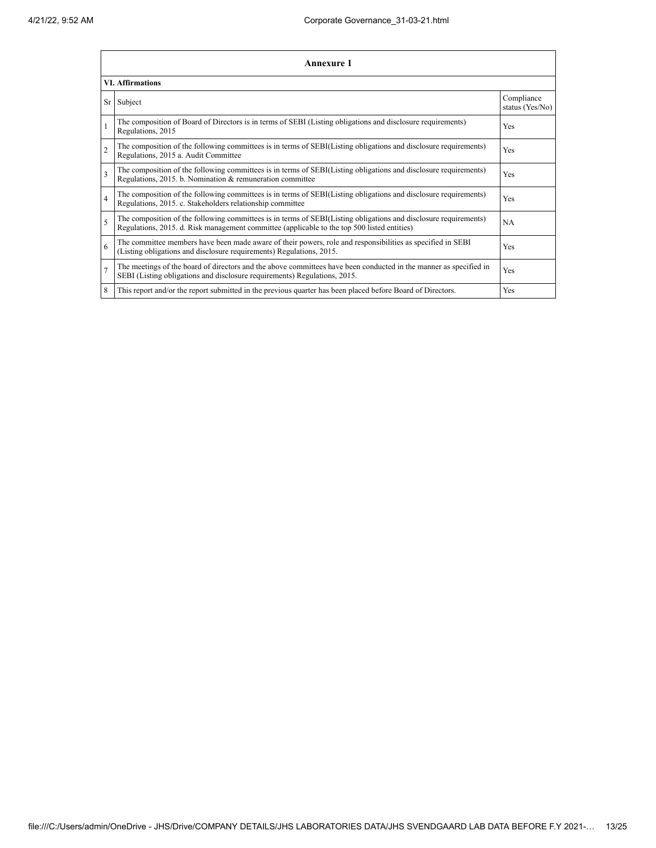|                | <b>Annexure 1</b>                                                                                                                                                                                               |                               |  |  |
|----------------|-----------------------------------------------------------------------------------------------------------------------------------------------------------------------------------------------------------------|-------------------------------|--|--|
|                | <b>VI.</b> Affirmations                                                                                                                                                                                         |                               |  |  |
| Sr             | Subject                                                                                                                                                                                                         | Compliance<br>status (Yes/No) |  |  |
| $\mathbf{1}$   | The composition of Board of Directors is in terms of SEBI (Listing obligations and disclosure requirements)<br>Regulations, 2015                                                                                | Yes                           |  |  |
| $\overline{c}$ | The composition of the following committees is in terms of SEBI(Listing obligations and disclosure requirements)<br>Regulations, 2015 a. Audit Committee                                                        | Yes                           |  |  |
| 3              | The composition of the following committees is in terms of SEBI(Listing obligations and disclosure requirements)<br>Regulations, 2015. b. Nomination & remuneration committee                                   | Yes                           |  |  |
| $\overline{4}$ | The composition of the following committees is in terms of SEBI(Listing obligations and disclosure requirements)<br>Regulations, 2015. c. Stakeholders relationship committee                                   | Yes                           |  |  |
| 5              | The composition of the following committees is in terms of SEBI(Listing obligations and disclosure requirements)<br>Regulations, 2015. d. Risk management committee (applicable to the top 500 listed entities) | <b>NA</b>                     |  |  |
| 6              | The committee members have been made aware of their powers, role and responsibilities as specified in SEBI<br>(Listing obligations and disclosure requirements) Regulations, 2015.                              | Yes                           |  |  |
| $\overline{7}$ | The meetings of the board of directors and the above committees have been conducted in the manner as specified in<br>SEBI (Listing obligations and disclosure requirements) Regulations, 2015.                  | <b>Yes</b>                    |  |  |
| 8              | This report and/or the report submitted in the previous quarter has been placed before Board of Directors.                                                                                                      | Yes                           |  |  |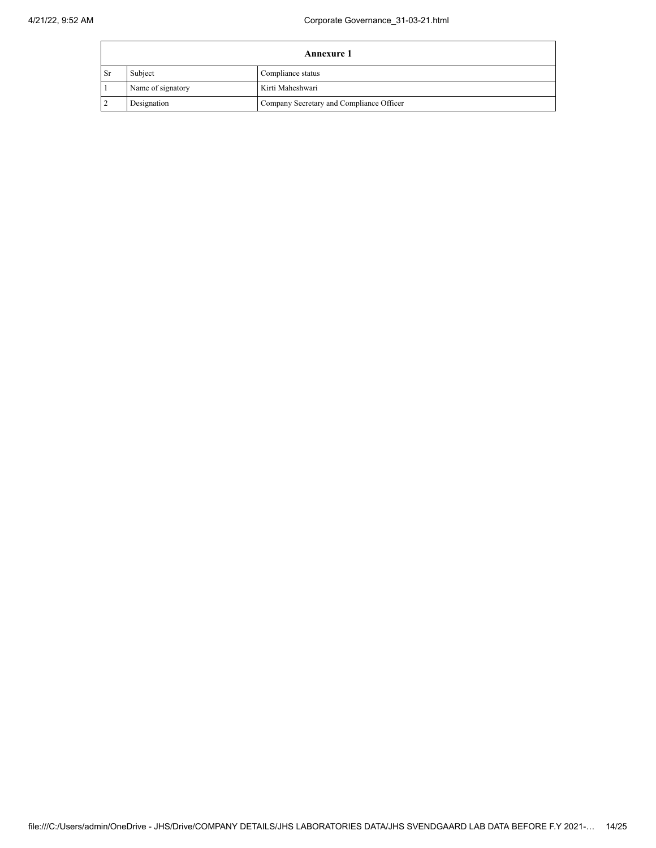÷

|      | <b>Annexure 1</b>            |                                          |  |  |
|------|------------------------------|------------------------------------------|--|--|
| - Sr | Subject<br>Compliance status |                                          |  |  |
|      | Name of signatory            | Kirti Maheshwari                         |  |  |
|      | Designation                  | Company Secretary and Compliance Officer |  |  |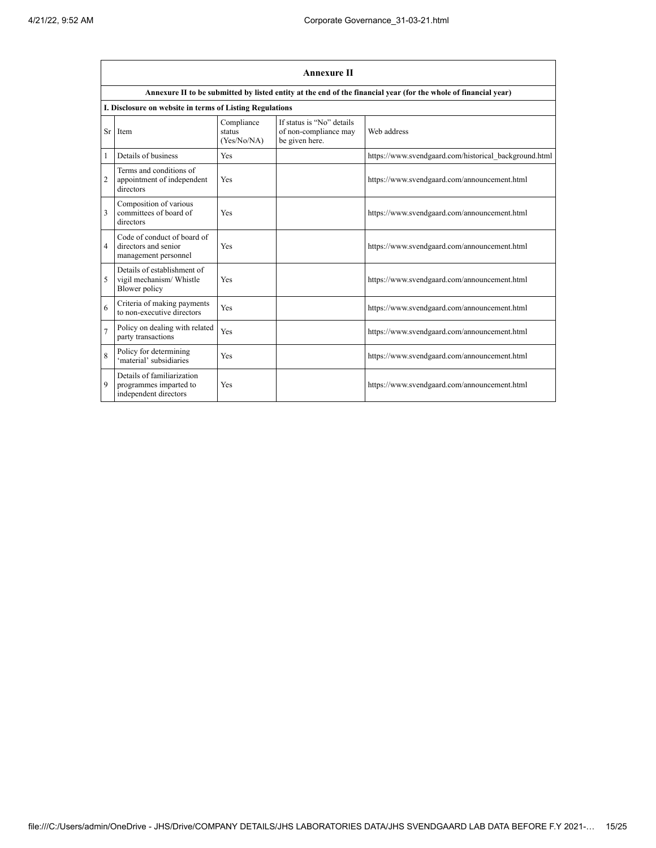|                | <b>Annexure II</b>                                                            |                                     |                                                                      |                                                                                                                 |  |
|----------------|-------------------------------------------------------------------------------|-------------------------------------|----------------------------------------------------------------------|-----------------------------------------------------------------------------------------------------------------|--|
|                |                                                                               |                                     |                                                                      | Annexure II to be submitted by listed entity at the end of the financial year (for the whole of financial year) |  |
|                | I. Disclosure on website in terms of Listing Regulations                      |                                     |                                                                      |                                                                                                                 |  |
| Sr             | Item                                                                          | Compliance<br>status<br>(Yes/No/NA) | If status is "No" details<br>of non-compliance may<br>be given here. | Web address                                                                                                     |  |
| $\mathbf{1}$   | Details of business                                                           | Yes                                 |                                                                      | https://www.svendgaard.com/historical background.html                                                           |  |
| $\overline{c}$ | Terms and conditions of<br>appointment of independent<br>directors            | Yes                                 |                                                                      | https://www.svendgaard.com/announcement.html                                                                    |  |
| 3              | Composition of various<br>committees of board of<br>directors                 | Yes                                 |                                                                      | https://www.svendgaard.com/announcement.html                                                                    |  |
| 4              | Code of conduct of board of<br>directors and senior<br>management personnel   | Yes                                 |                                                                      | https://www.svendgaard.com/announcement.html                                                                    |  |
| 5              | Details of establishment of<br>vigil mechanism/ Whistle<br>Blower policy      | Yes                                 |                                                                      | https://www.svendgaard.com/announcement.html                                                                    |  |
| 6              | Criteria of making payments<br>to non-executive directors                     | Yes                                 |                                                                      | https://www.svendgaard.com/announcement.html                                                                    |  |
| $\overline{7}$ | Policy on dealing with related<br>party transactions                          | Yes                                 |                                                                      | https://www.svendgaard.com/announcement.html                                                                    |  |
| 8              | Policy for determining<br>'material' subsidiaries                             | Yes                                 |                                                                      | https://www.svendgaard.com/announcement.html                                                                    |  |
| 9              | Details of familiarization<br>programmes imparted to<br>independent directors | Yes                                 |                                                                      | https://www.svendgaard.com/announcement.html                                                                    |  |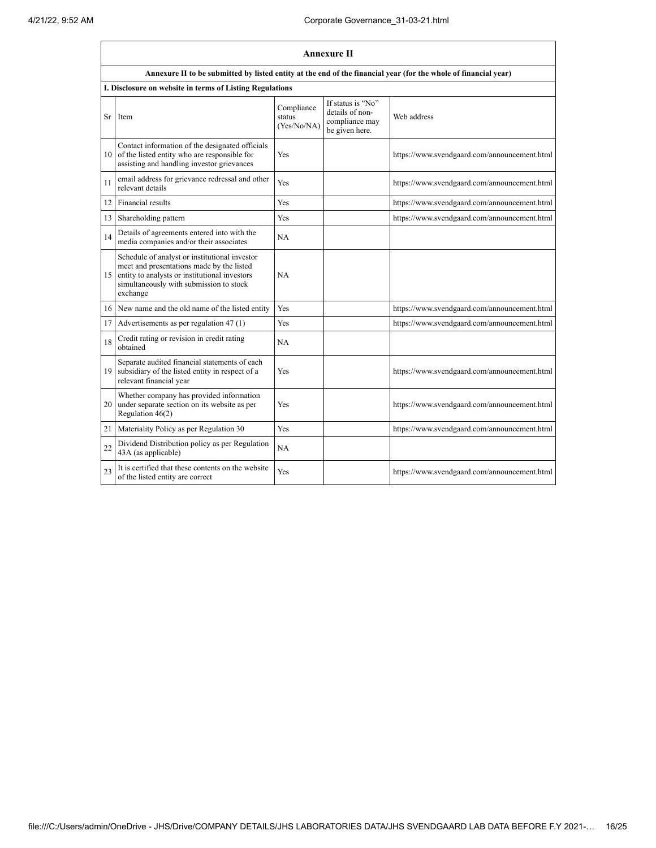|    | Annexure II                                                                                                                                                                                        |                                     |                                                                          |                                              |
|----|----------------------------------------------------------------------------------------------------------------------------------------------------------------------------------------------------|-------------------------------------|--------------------------------------------------------------------------|----------------------------------------------|
|    | Annexure II to be submitted by listed entity at the end of the financial year (for the whole of financial year)                                                                                    |                                     |                                                                          |                                              |
|    | I. Disclosure on website in terms of Listing Regulations                                                                                                                                           |                                     |                                                                          |                                              |
| Sr | Item                                                                                                                                                                                               | Compliance<br>status<br>(Yes/No/NA) | If status is 'No"<br>details of non-<br>compliance may<br>be given here. | Web address                                  |
| 10 | Contact information of the designated officials<br>of the listed entity who are responsible for<br>assisting and handling investor grievances                                                      | Yes                                 |                                                                          | https://www.svendgaard.com/announcement.html |
| 11 | email address for grievance redressal and other<br>relevant details                                                                                                                                | Yes                                 |                                                                          | https://www.svendgaard.com/announcement.html |
| 12 | Financial results                                                                                                                                                                                  | Yes                                 |                                                                          | https://www.svendgaard.com/announcement.html |
| 13 | Shareholding pattern                                                                                                                                                                               | Yes                                 |                                                                          | https://www.svendgaard.com/announcement.html |
| 14 | Details of agreements entered into with the<br>media companies and/or their associates                                                                                                             | NA                                  |                                                                          |                                              |
| 15 | Schedule of analyst or institutional investor<br>meet and presentations made by the listed<br>entity to analysts or institutional investors<br>simultaneously with submission to stock<br>exchange | NA                                  |                                                                          |                                              |
| 16 | New name and the old name of the listed entity                                                                                                                                                     | Yes                                 |                                                                          | https://www.svendgaard.com/announcement.html |
| 17 | Advertisements as per regulation 47 (1)                                                                                                                                                            | Yes                                 |                                                                          | https://www.svendgaard.com/announcement.html |
| 18 | Credit rating or revision in credit rating<br>obtained                                                                                                                                             | NA                                  |                                                                          |                                              |
| 19 | Separate audited financial statements of each<br>subsidiary of the listed entity in respect of a<br>relevant financial year                                                                        | Yes                                 |                                                                          | https://www.svendgaard.com/announcement.html |
| 20 | Whether company has provided information<br>under separate section on its website as per<br>Regulation 46(2)                                                                                       | Yes                                 |                                                                          | https://www.svendgaard.com/announcement.html |
| 21 | Materiality Policy as per Regulation 30                                                                                                                                                            | Yes                                 |                                                                          | https://www.svendgaard.com/announcement.html |
| 22 | Dividend Distribution policy as per Regulation<br>43A (as applicable)                                                                                                                              | NA                                  |                                                                          |                                              |
| 23 | It is certified that these contents on the website<br>of the listed entity are correct                                                                                                             | Yes                                 |                                                                          | https://www.svendgaard.com/announcement.html |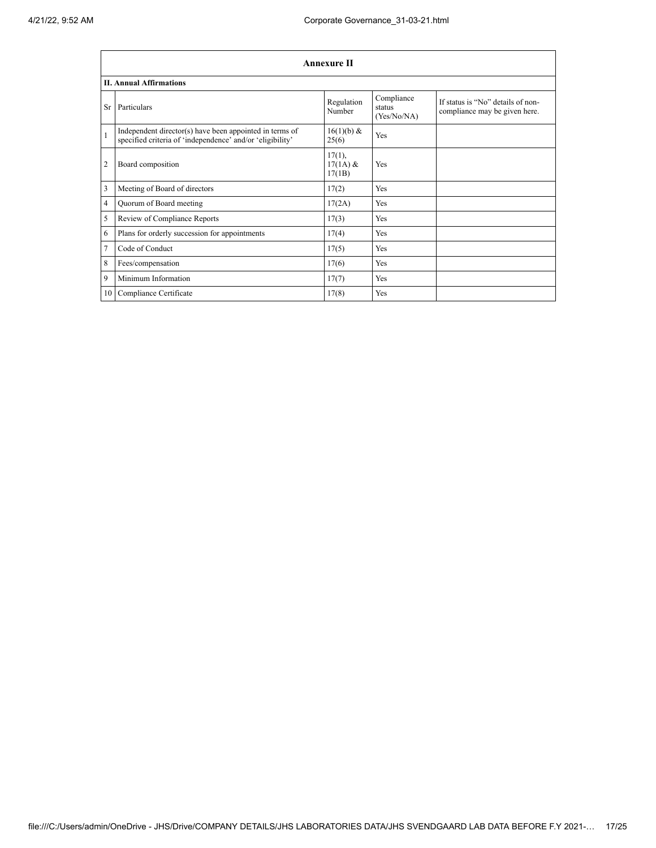|                | <b>Annexure II</b>                                                                                                   |                                   |                                     |                                                                    |  |
|----------------|----------------------------------------------------------------------------------------------------------------------|-----------------------------------|-------------------------------------|--------------------------------------------------------------------|--|
|                | <b>II. Annual Affirmations</b>                                                                                       |                                   |                                     |                                                                    |  |
| Sr             | Particulars                                                                                                          | Regulation<br>Number              | Compliance<br>status<br>(Yes/No/NA) | If status is "No" details of non-<br>compliance may be given here. |  |
| $\mathbf{1}$   | Independent director(s) have been appointed in terms of<br>specified criteria of 'independence' and/or 'eligibility' | 16(1)(b) &<br>25(6)               | Yes                                 |                                                                    |  |
| $\overline{2}$ | Board composition                                                                                                    | $17(1)$ ,<br>$17(1A)$ &<br>17(1B) | Yes                                 |                                                                    |  |
| 3              | Meeting of Board of directors                                                                                        | 17(2)                             | Yes                                 |                                                                    |  |
| 4              | Quorum of Board meeting                                                                                              | 17(2A)                            | Yes                                 |                                                                    |  |
| 5              | Review of Compliance Reports                                                                                         | 17(3)                             | Yes                                 |                                                                    |  |
| 6              | Plans for orderly succession for appointments                                                                        | 17(4)                             | Yes                                 |                                                                    |  |
| 7              | Code of Conduct                                                                                                      | 17(5)                             | Yes                                 |                                                                    |  |
| 8              | Fees/compensation                                                                                                    | 17(6)                             | Yes                                 |                                                                    |  |
| 9              | Minimum Information                                                                                                  | 17(7)                             | Yes                                 |                                                                    |  |
| 10             | Compliance Certificate                                                                                               | 17(8)                             | Yes                                 |                                                                    |  |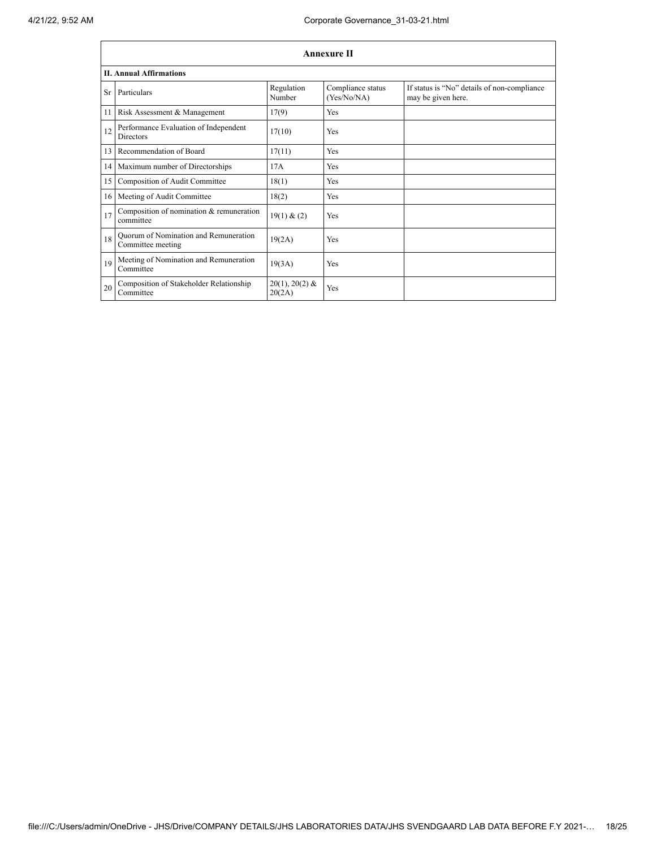|      | Annexure II                                                |                            |                                  |                                                                   |  |
|------|------------------------------------------------------------|----------------------------|----------------------------------|-------------------------------------------------------------------|--|
|      | <b>II. Annual Affirmations</b>                             |                            |                                  |                                                                   |  |
| Sr   | Particulars                                                | Regulation<br>Number       | Compliance status<br>(Yes/No/NA) | If status is "No" details of non-compliance<br>may be given here. |  |
| 11   | Risk Assessment & Management                               | 17(9)                      | Yes                              |                                                                   |  |
| 12   | Performance Evaluation of Independent<br><b>Directors</b>  | 17(10)                     | Yes                              |                                                                   |  |
| 13   | Recommendation of Board                                    | 17(11)                     | Yes                              |                                                                   |  |
|      | 14 Maximum number of Directorships                         | 17A                        | Yes                              |                                                                   |  |
| 15   | Composition of Audit Committee                             | 18(1)                      | Yes                              |                                                                   |  |
| 16 I | Meeting of Audit Committee                                 | 18(2)                      | Yes                              |                                                                   |  |
| 17   | Composition of nomination & remuneration<br>committee      | 19(1) & (2)                | Yes                              |                                                                   |  |
| 18   | Quorum of Nomination and Remuneration<br>Committee meeting | 19(2A)                     | Yes                              |                                                                   |  |
| 19   | Meeting of Nomination and Remuneration<br>Committee        | 19(3A)                     | Yes                              |                                                                   |  |
| 20   | Composition of Stakeholder Relationship<br>Committee       | $20(1), 20(2)$ &<br>20(2A) | Yes                              |                                                                   |  |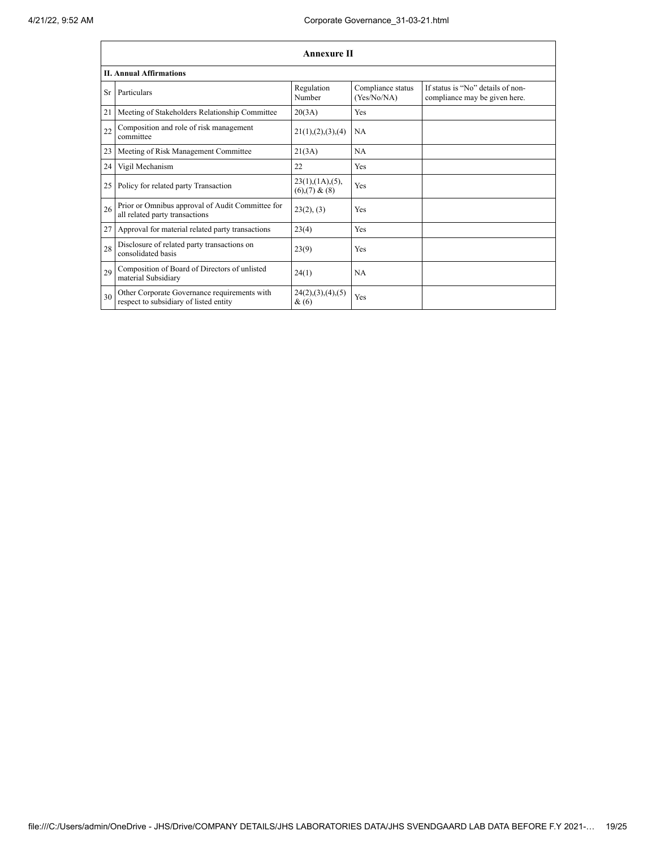|                 | <b>Annexure II</b>                                                                     |                                                 |                                  |                                                                    |
|-----------------|----------------------------------------------------------------------------------------|-------------------------------------------------|----------------------------------|--------------------------------------------------------------------|
|                 | <b>II. Annual Affirmations</b>                                                         |                                                 |                                  |                                                                    |
| Sr <sup>-</sup> | Particulars                                                                            | Regulation<br>Number                            | Compliance status<br>(Yes/No/NA) | If status is "No" details of non-<br>compliance may be given here. |
| 21              | Meeting of Stakeholders Relationship Committee                                         | 20(3A)                                          | Yes                              |                                                                    |
| 22              | Composition and role of risk management<br>committee                                   | 21(1), (2), (3), (4)                            | <b>NA</b>                        |                                                                    |
| 23              | Meeting of Risk Management Committee                                                   | 21(3A)                                          | <b>NA</b>                        |                                                                    |
| 24              | Vigil Mechanism                                                                        | 22                                              | Yes                              |                                                                    |
| 25              | Policy for related party Transaction                                                   | $23(1)$ , $(1A)$ , $(5)$ ,<br>$(6)$ , (7) & (8) | Yes                              |                                                                    |
| 26              | Prior or Omnibus approval of Audit Committee for<br>all related party transactions     | 23(2), (3)                                      | Yes                              |                                                                    |
| 27              | Approval for material related party transactions                                       | 23(4)                                           | Yes                              |                                                                    |
| 28              | Disclosure of related party transactions on<br>consolidated basis                      | 23(9)                                           | Yes                              |                                                                    |
| 29              | Composition of Board of Directors of unlisted<br>material Subsidiary                   | 24(1)                                           | <b>NA</b>                        |                                                                    |
| 30              | Other Corporate Governance requirements with<br>respect to subsidiary of listed entity | 24(2),(3),(4),(5)<br>$\&(6)$                    | Yes                              |                                                                    |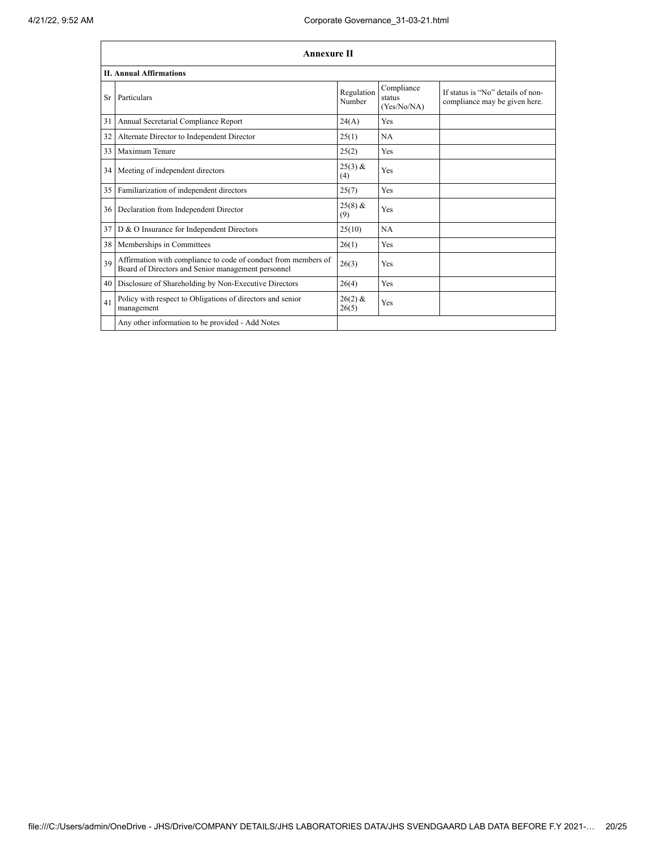|    | <b>Annexure II</b>                                                                                                   |                      |                                     |                                                                    |
|----|----------------------------------------------------------------------------------------------------------------------|----------------------|-------------------------------------|--------------------------------------------------------------------|
|    | <b>II. Annual Affirmations</b>                                                                                       |                      |                                     |                                                                    |
| Sr | Particulars                                                                                                          | Regulation<br>Number | Compliance<br>status<br>(Yes/No/NA) | If status is "No" details of non-<br>compliance may be given here. |
| 31 | Annual Secretarial Compliance Report                                                                                 | 24(A)                | Yes                                 |                                                                    |
| 32 | Alternate Director to Independent Director                                                                           | 25(1)                | <b>NA</b>                           |                                                                    |
| 33 | Maximum Tenure                                                                                                       | 25(2)                | Yes                                 |                                                                    |
| 34 | Meeting of independent directors                                                                                     | $25(3)$ &<br>(4)     | Yes                                 |                                                                    |
| 35 | Familiarization of independent directors                                                                             | 25(7)                | Yes                                 |                                                                    |
| 36 | Declaration from Independent Director                                                                                | $25(8)$ &<br>(9)     | Yes                                 |                                                                    |
| 37 | D & O Insurance for Independent Directors                                                                            | 25(10)               | <b>NA</b>                           |                                                                    |
| 38 | Memberships in Committees                                                                                            | 26(1)                | Yes                                 |                                                                    |
| 39 | Affirmation with compliance to code of conduct from members of<br>Board of Directors and Senior management personnel | 26(3)                | Yes                                 |                                                                    |
| 40 | Disclosure of Shareholding by Non-Executive Directors                                                                | 26(4)                | Yes                                 |                                                                    |
| 41 | Policy with respect to Obligations of directors and senior<br>management                                             | $26(2)$ &<br>26(5)   | Yes                                 |                                                                    |
|    | Any other information to be provided - Add Notes                                                                     |                      |                                     |                                                                    |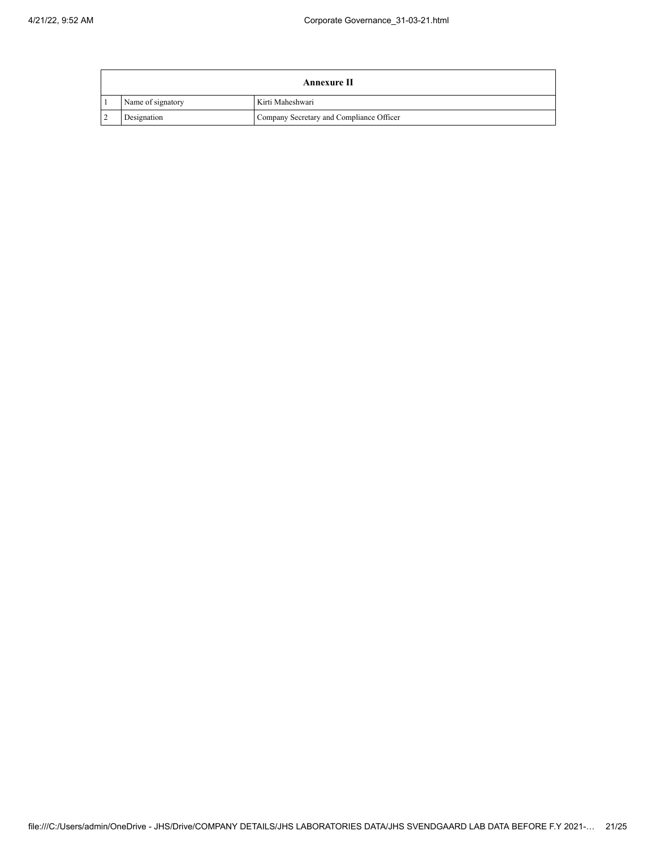|                | Annexure II                                             |                  |  |  |
|----------------|---------------------------------------------------------|------------------|--|--|
|                | Name of signatory                                       | Kirti Maheshwari |  |  |
| $\overline{2}$ | Company Secretary and Compliance Officer<br>Designation |                  |  |  |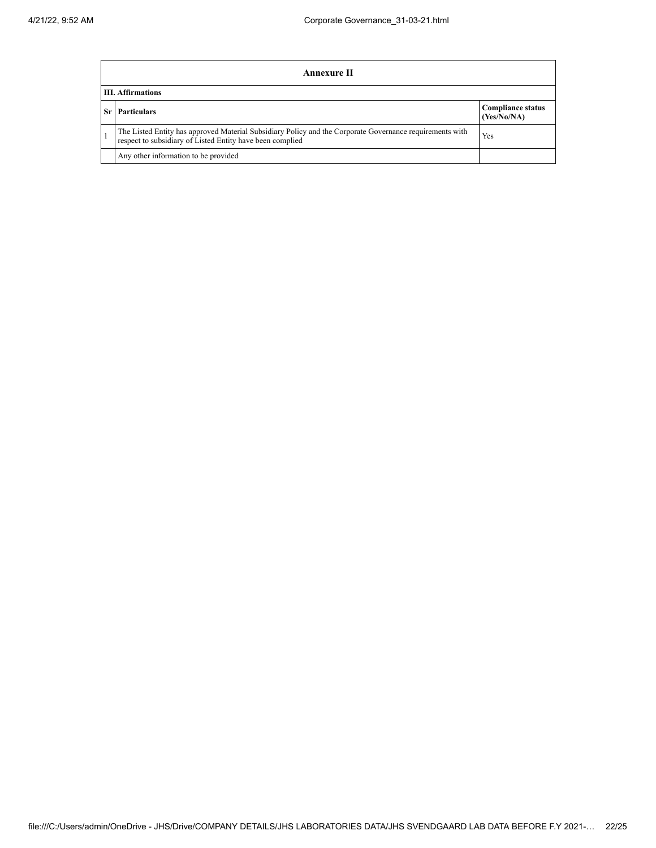| Annexure II                                                                                                                                                                  |                                         |  |  |
|------------------------------------------------------------------------------------------------------------------------------------------------------------------------------|-----------------------------------------|--|--|
| <b>III.</b> Affirmations                                                                                                                                                     |                                         |  |  |
| <b>Sr</b> Particulars                                                                                                                                                        | <b>Compliance status</b><br>(Yes/No/NA) |  |  |
| The Listed Entity has approved Material Subsidiary Policy and the Corporate Governance requirements with<br>Yes<br>respect to subsidiary of Listed Entity have been complied |                                         |  |  |
| Any other information to be provided                                                                                                                                         |                                         |  |  |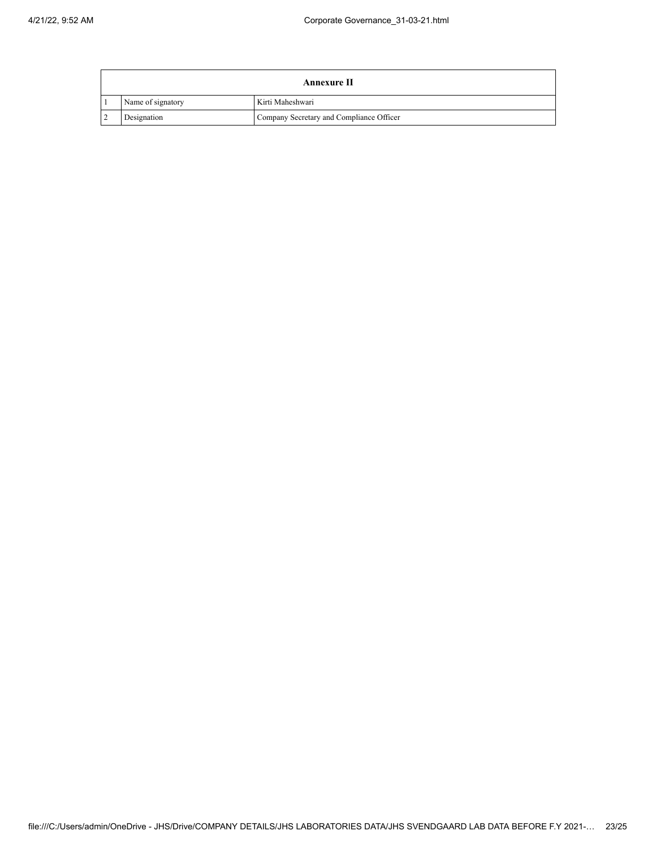|                | Annexure II                                             |                  |  |  |
|----------------|---------------------------------------------------------|------------------|--|--|
|                | Name of signatory                                       | Kirti Maheshwari |  |  |
| $\overline{2}$ | Company Secretary and Compliance Officer<br>Designation |                  |  |  |